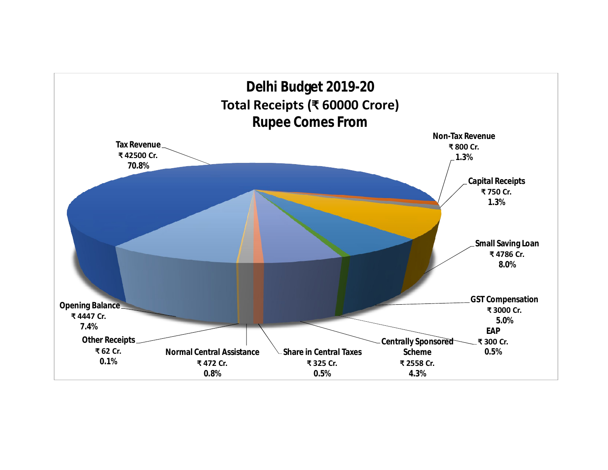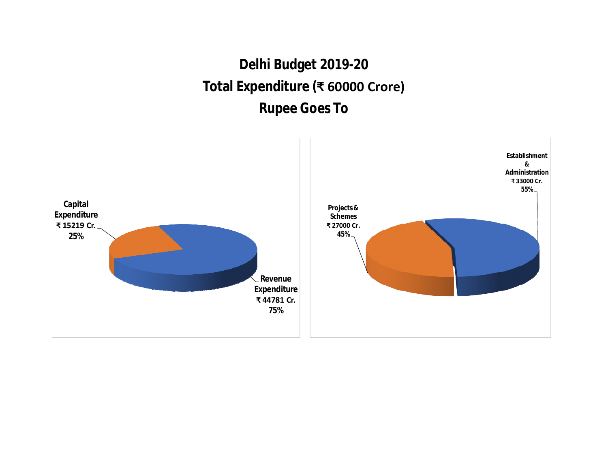## **Delhi Budget 2019-20 Total Expenditure (₹ 60000 Crore) Rupee Goes To**

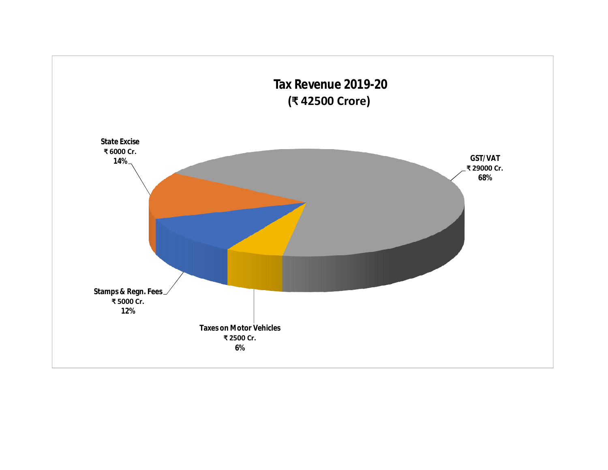